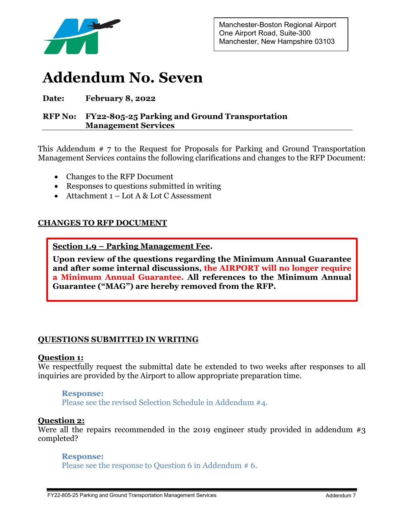

# **Addendum No. Seven**

# **Date: February 8, 2022**

# **RFP No: FY22-805-25 Parking and Ground Transportation Management Services**

This Addendum # 7 to the Request for Proposals for Parking and Ground Transportation Management Services contains the following clarifications and changes to the RFP Document:

- Changes to the RFP Document
- Responses to questions submitted in writing
- Attachment 1 Lot A & Lot C Assessment

# **CHANGES TO RFP DOCUMENT**

**Section 1.9 – Parking Management Fee.** 

**Upon review of the questions regarding the Minimum Annual Guarantee and after some internal discussions, the AIRPORT will no longer require a Minimum Annual Guarantee. All references to the Minimum Annual Guarantee ("MAG") are hereby removed from the RFP.** 

# **QUESTIONS SUBMITTED IN WRITING**

# **Question 1:**

We respectfully request the submittal date be extended to two weeks after responses to all inquiries are provided by the Airport to allow appropriate preparation time.

# **Response:**

Please see the revised Selection Schedule in Addendum #4.

# **Question 2:**

Were all the repairs recommended in the 2019 engineer study provided in addendum  $\#3$ completed?

# **Response:**

Please see the response to Question 6 in Addendum # 6.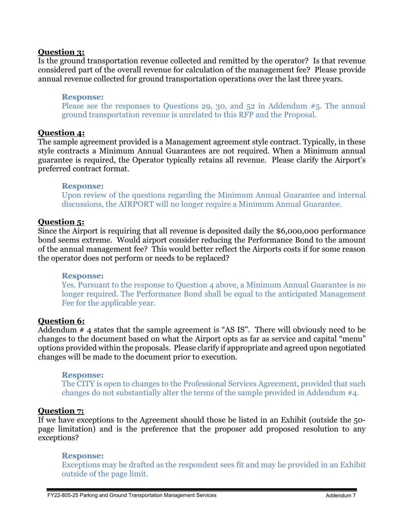# **Question 3:**

Is the ground transportation revenue collected and remitted by the operator? Is that revenue considered part of the overall revenue for calculation of the management fee? Please provide annual revenue collected for ground transportation operations over the last three years.

## **Response:** Please see the responses to Questions 29, 30, and 52 in Addendum #5. The annual ground transportation revenue is unrelated to this RFP and the Proposal.

# **Question 4:**

The sample agreement provided is a Management agreement style contract. Typically, in these style contracts a Minimum Annual Guarantees are not required. When a Minimum annual guarantee is required, the Operator typically retains all revenue. Please clarify the Airport's preferred contract format.

#### **Response:**

Upon review of the questions regarding the Minimum Annual Guarantee and internal discussions, the AIRPORT will no longer require a Minimum Annual Guarantee.

# **Question 5:**

Since the Airport is requiring that all revenue is deposited daily the \$6,000,000 performance bond seems extreme. Would airport consider reducing the Performance Bond to the amount of the annual management fee? This would better reflect the Airports costs if for some reason the operator does not perform or needs to be replaced?

# **Response:**

Yes. Pursuant to the response to Question 4 above, a Minimum Annual Guarantee is no longer required. The Performance Bond shall be equal to the anticipated Management Fee for the applicable year.

# **Question 6:**

Addendum # 4 states that the sample agreement is "AS IS". There will obviously need to be changes to the document based on what the Airport opts as far as service and capital "menu" options provided within the proposals. Please clarify if appropriate and agreed upon negotiated changes will be made to the document prior to execution.

# **Response:**

The CITY is open to changes to the Professional Services Agreement, provided that such changes do not substantially alter the terms of the sample provided in Addendum #4.

# **Question 7:**

If we have exceptions to the Agreement should those be listed in an Exhibit (outside the 50 page limitation) and is the preference that the proposer add proposed resolution to any exceptions?

# **Response:**

Exceptions may be drafted as the respondent sees fit and may be provided in an Exhibit outside of the page limit.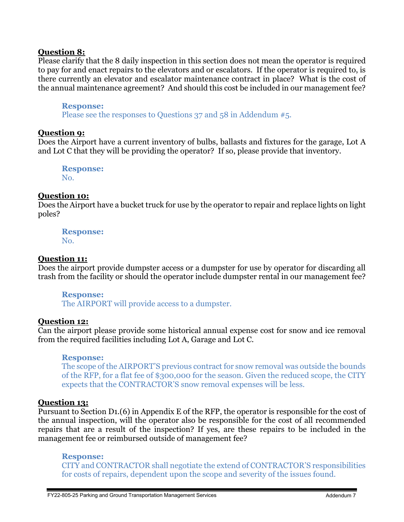# **Question 8:**

Please clarify that the 8 daily inspection in this section does not mean the operator is required to pay for and enact repairs to the elevators and or escalators. If the operator is required to, is there currently an elevator and escalator maintenance contract in place? What is the cost of the annual maintenance agreement? And should this cost be included in our management fee?

## **Response:**

Please see the responses to Questions 37 and 58 in Addendum #5.

# **Question 9:**

Does the Airport have a current inventory of bulbs, ballasts and fixtures for the garage, Lot A and Lot C that they will be providing the operator? If so, please provide that inventory.

**Response:** No.

# **Question 10:**

Does the Airport have a bucket truck for use by the operator to repair and replace lights on light poles?

**Response:** No.

# **Question 11:**

Does the airport provide dumpster access or a dumpster for use by operator for discarding all trash from the facility or should the operator include dumpster rental in our management fee?

#### **Response:**

The AIRPORT will provide access to a dumpster.

# **Question 12:**

Can the airport please provide some historical annual expense cost for snow and ice removal from the required facilities including Lot A, Garage and Lot C.

# **Response:**

The scope of the AIRPORT'S previous contract for snow removal was outside the bounds of the RFP, for a flat fee of \$300,000 for the season. Given the reduced scope, the CITY expects that the CONTRACTOR'S snow removal expenses will be less.

# **Question 13:**

Pursuant to Section D1.(6) in Appendix E of the RFP, the operator is responsible for the cost of the annual inspection, will the operator also be responsible for the cost of all recommended repairs that are a result of the inspection? If yes, are these repairs to be included in the management fee or reimbursed outside of management fee?

#### **Response:**

CITY and CONTRACTOR shall negotiate the extend of CONTRACTOR'S responsibilities for costs of repairs, dependent upon the scope and severity of the issues found.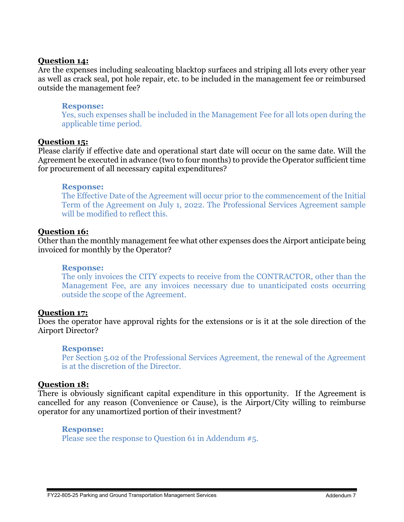# **Question 14:**

Are the expenses including sealcoating blacktop surfaces and striping all lots every other year as well as crack seal, pot hole repair, etc. to be included in the management fee or reimbursed outside the management fee?

# **Response:**

Yes, such expenses shall be included in the Management Fee for all lots open during the applicable time period.

# **Question 15:**

Please clarify if effective date and operational start date will occur on the same date. Will the Agreement be executed in advance (two to four months) to provide the Operator sufficient time for procurement of all necessary capital expenditures?

## **Response:**

The Effective Date of the Agreement will occur prior to the commencement of the Initial Term of the Agreement on July 1, 2022. The Professional Services Agreement sample will be modified to reflect this.

# **Question 16:**

Other than the monthly management fee what other expenses does the Airport anticipate being invoiced for monthly by the Operator?

#### **Response:**

The only invoices the CITY expects to receive from the CONTRACTOR, other than the Management Fee, are any invoices necessary due to unanticipated costs occurring outside the scope of the Agreement.

# **Question 17:**

Does the operator have approval rights for the extensions or is it at the sole direction of the Airport Director?

# **Response:**

Per Section 5.02 of the Professional Services Agreement, the renewal of the Agreement is at the discretion of the Director.

# **Question 18:**

There is obviously significant capital expenditure in this opportunity. If the Agreement is cancelled for any reason (Convenience or Cause), is the Airport/City willing to reimburse operator for any unamortized portion of their investment?

#### **Response:**

Please see the response to Question 61 in Addendum #5.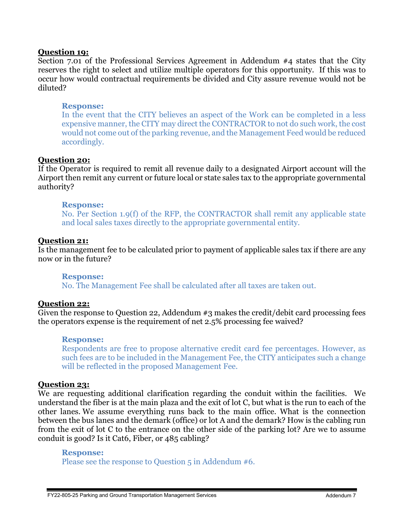# **Question 19:**

Section 7.01 of the Professional Services Agreement in Addendum #4 states that the City reserves the right to select and utilize multiple operators for this opportunity. If this was to occur how would contractual requirements be divided and City assure revenue would not be diluted?

# **Response:**

In the event that the CITY believes an aspect of the Work can be completed in a less expensive manner, the CITY may direct the CONTRACTOR to not do such work, the cost would not come out of the parking revenue, and the Management Feed would be reduced accordingly.

# **Question 20:**

If the Operator is required to remit all revenue daily to a designated Airport account will the Airport then remit any current or future local or state sales tax to the appropriate governmental authority?

# **Response:**

No. Per Section 1.9(f) of the RFP, the CONTRACTOR shall remit any applicable state and local sales taxes directly to the appropriate governmental entity.

# **Question 21:**

Is the management fee to be calculated prior to payment of applicable sales tax if there are any now or in the future?

# **Response:**

No. The Management Fee shall be calculated after all taxes are taken out.

# **Question 22:**

Given the response to Question 22, Addendum #3 makes the credit/debit card processing fees the operators expense is the requirement of net 2.5% processing fee waived?

# **Response:**

Respondents are free to propose alternative credit card fee percentages. However, as such fees are to be included in the Management Fee, the CITY anticipates such a change will be reflected in the proposed Management Fee.

# **Question 23:**

We are requesting additional clarification regarding the conduit within the facilities. We understand the fiber is at the main plaza and the exit of lot C, but what is the run to each of the other lanes. We assume everything runs back to the main office. What is the connection between the bus lanes and the demark (office) or lot A and the demark? How is the cabling run from the exit of lot C to the entrance on the other side of the parking lot? Are we to assume conduit is good? Is it Cat6, Fiber, or 485 cabling?

## **Response:**

Please see the response to Question 5 in Addendum #6.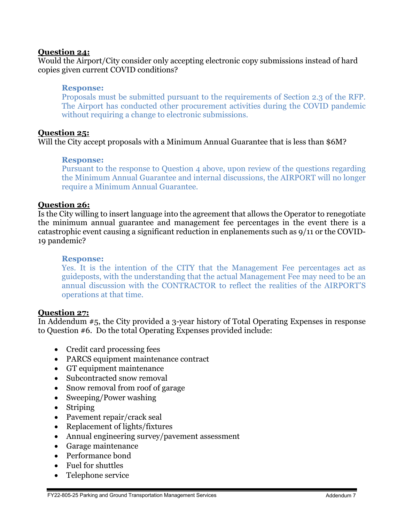# **Question 24:**

Would the Airport/City consider only accepting electronic copy submissions instead of hard copies given current COVID conditions?

# **Response:**

Proposals must be submitted pursuant to the requirements of Section 2.3 of the RFP. The Airport has conducted other procurement activities during the COVID pandemic without requiring a change to electronic submissions.

# **Question 25:**

Will the City accept proposals with a Minimum Annual Guarantee that is less than \$6M?

# **Response:**

Pursuant to the response to Question 4 above, upon review of the questions regarding the Minimum Annual Guarantee and internal discussions, the AIRPORT will no longer require a Minimum Annual Guarantee.

# **Question 26:**

Is the City willing to insert language into the agreement that allows the Operator to renegotiate the minimum annual guarantee and management fee percentages in the event there is a catastrophic event causing a significant reduction in enplanements such as 9/11 or the COVID-19 pandemic?

# **Response:**

Yes. It is the intention of the CITY that the Management Fee percentages act as guideposts, with the understanding that the actual Management Fee may need to be an annual discussion with the CONTRACTOR to reflect the realities of the AIRPORT'S operations at that time.

# **Question 27:**

In Addendum #5, the City provided a 3-year history of Total Operating Expenses in response to Question #6. Do the total Operating Expenses provided include:

- Credit card processing fees
- PARCS equipment maintenance contract
- GT equipment maintenance
- Subcontracted snow removal
- Snow removal from roof of garage
- Sweeping/Power washing
- Striping
- Pavement repair/crack seal
- Replacement of lights/fixtures
- Annual engineering survey/pavement assessment
- Garage maintenance
- Performance bond
- Fuel for shuttles
- Telephone service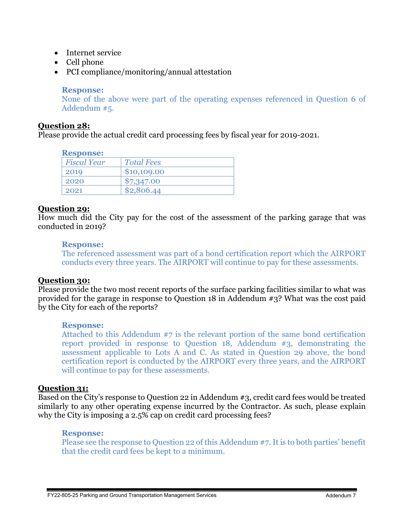- Internet service
- Cell phone
- PCI compliance/monitoring/annual attestation

# **Response:**

None of the above were part of the operating expenses referenced in Question 6 of Addendum #5.

# **Question 28:**

Please provide the actual credit card processing fees by fiscal year for 2019-2021.

## **Response:**

| -----------        |                   |
|--------------------|-------------------|
| <b>Fiscal Year</b> | <b>Total Fees</b> |
| 2019               | \$10,109.00       |
| 2020               | \$7,347.00        |
| 2021               | \$2,806.44        |
|                    |                   |

# **Question 29:**

How much did the City pay for the cost of the assessment of the parking garage that was conducted in 2019?

# **Response:**

The referenced assessment was part of a bond certification report which the AIRPORT conducts every three years. The AIRPORT will continue to pay for these assessments.

# **Question 30:**

Please provide the two most recent reports of the surface parking facilities similar to what was provided for the garage in response to Question 18 in Addendum #3? What was the cost paid by the City for each of the reports?

# **Response:**

Attached to this Addendum #7 is the relevant portion of the same bond certification report provided in response to Question 18, Addendum #3, demonstrating the assessment applicable to Lots A and C. As stated in Question 29 above, the bond certification report is conducted by the AIRPORT every three years, and the AIRPORT will continue to pay for these assessments.

# **Question 31:**

Based on the City's response to Question 22 in Addendum #3, credit card fees would be treated similarly to any other operating expense incurred by the Contractor. As such, please explain why the City is imposing a 2.5% cap on credit card processing fees?

# **Response:**

Please see the response to Question 22 of this Addendum #7. It is to both parties' benefit that the credit card fees be kept to a minimum.